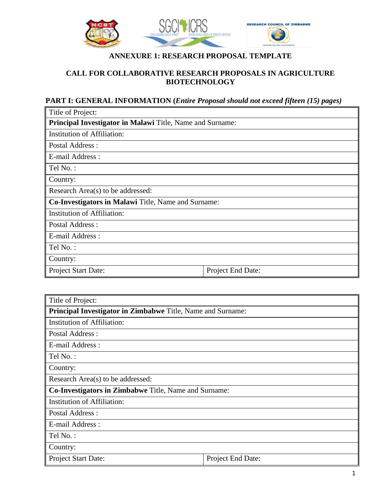

# **ANNEXURE 1: RESEARCH PROPOSAL TEMPLATE**

### **CALL FOR COLLABORATIVE RESEARCH PROPOSALS IN AGRICULTURE BIOTECHNOLOGY**

## **PART I: GENERAL INFORMATION (***Entire Proposal should not exceed fifteen (15) pages)*

| Title of Project:                                         |                   |  |
|-----------------------------------------------------------|-------------------|--|
| Principal Investigator in Malawi Title, Name and Surname: |                   |  |
| Institution of Affiliation:                               |                   |  |
| Postal Address:                                           |                   |  |
| E-mail Address :                                          |                   |  |
| Tel No.:                                                  |                   |  |
| Country:                                                  |                   |  |
| Research Area(s) to be addressed:                         |                   |  |
| Co-Investigators in Malawi Title, Name and Surname:       |                   |  |
| <b>Institution of Affiliation:</b>                        |                   |  |
| Postal Address :                                          |                   |  |
| E-mail Address :                                          |                   |  |
| Tel No.:                                                  |                   |  |
| Country:                                                  |                   |  |
| Project Start Date:                                       | Project End Date: |  |

| Title of Project:                                            |                   |  |
|--------------------------------------------------------------|-------------------|--|
| Principal Investigator in Zimbabwe Title, Name and Surname:  |                   |  |
| Institution of Affiliation:                                  |                   |  |
| <b>Postal Address:</b>                                       |                   |  |
| E-mail Address :                                             |                   |  |
| Tel No.:                                                     |                   |  |
| Country:                                                     |                   |  |
| Research Area(s) to be addressed:                            |                   |  |
| <b>Co-Investigators in Zimbabwe Title, Name and Surname:</b> |                   |  |
| <b>Institution of Affiliation:</b>                           |                   |  |
| <b>Postal Address:</b>                                       |                   |  |
| E-mail Address :                                             |                   |  |
| Tel No.:                                                     |                   |  |
| Country:                                                     |                   |  |
| Project Start Date:                                          | Project End Date: |  |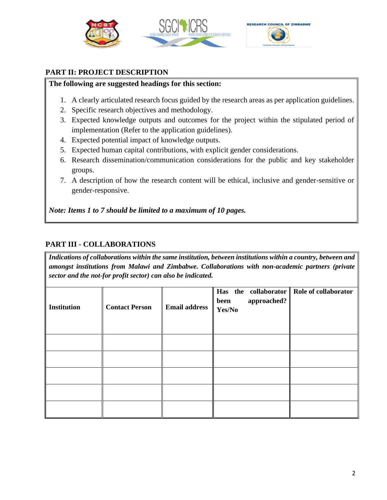

#### **PART II: PROJECT DESCRIPTION**

#### **The following are suggested headings for this section:**

- 1. A clearly articulated research focus guided by the research areas as per application guidelines.
- 2. Specific research objectives and methodology.
- 3. Expected knowledge outputs and outcomes for the project within the stipulated period of implementation (Refer to the application guidelines).
- 4. Expected potential impact of knowledge outputs.
- 5. Expected human capital contributions, with explicit gender considerations.
- 6. Research dissemination/communication considerations for the public and key stakeholder groups.
- 7. A description of how the research content will be ethical, inclusive and gender-sensitive or gender-responsive.

*Note: Items 1 to 7 should be limited to a maximum of 10 pages.*

### **PART III - COLLABORATIONS**

*Indications of collaborations within the same institution, between institutions within a country, between and amongst institutions from Malawi and Zimbabwe. Collaborations with non-academic partners (private sector and the not-for profit sector) can also be indicated.* 

| <b>Institution</b> | <b>Contact Person</b> | <b>Email address</b> | Has the collaborator Role of collaborator<br>approached?<br>been<br>Yes/No |  |
|--------------------|-----------------------|----------------------|----------------------------------------------------------------------------|--|
|                    |                       |                      |                                                                            |  |
|                    |                       |                      |                                                                            |  |
|                    |                       |                      |                                                                            |  |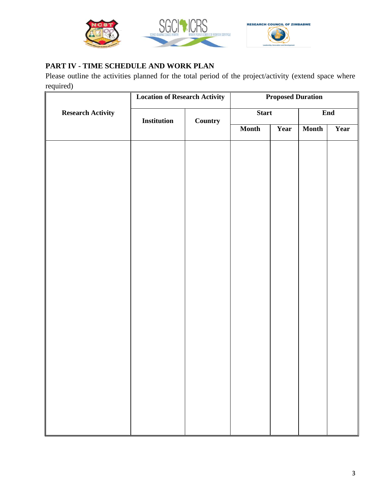

### **PART IV - TIME SCHEDULE AND WORK PLAN**

Please outline the activities planned for the total period of the project/activity (extend space where required)

|                          | <b>Location of Research Activity</b> |                | <b>Proposed Duration</b> |      |              |      |
|--------------------------|--------------------------------------|----------------|--------------------------|------|--------------|------|
| <b>Research Activity</b> | Institution                          | <b>Country</b> | <b>Start</b>             |      | End          |      |
|                          |                                      |                | <b>Month</b>             | Year | <b>Month</b> | Year |
|                          |                                      |                |                          |      |              |      |
|                          |                                      |                |                          |      |              |      |
|                          |                                      |                |                          |      |              |      |
|                          |                                      |                |                          |      |              |      |
|                          |                                      |                |                          |      |              |      |
|                          |                                      |                |                          |      |              |      |
|                          |                                      |                |                          |      |              |      |
|                          |                                      |                |                          |      |              |      |
|                          |                                      |                |                          |      |              |      |
|                          |                                      |                |                          |      |              |      |
|                          |                                      |                |                          |      |              |      |
|                          |                                      |                |                          |      |              |      |
|                          |                                      |                |                          |      |              |      |
|                          |                                      |                |                          |      |              |      |
|                          |                                      |                |                          |      |              |      |
|                          |                                      |                |                          |      |              |      |
|                          |                                      |                |                          |      |              |      |
|                          |                                      |                |                          |      |              |      |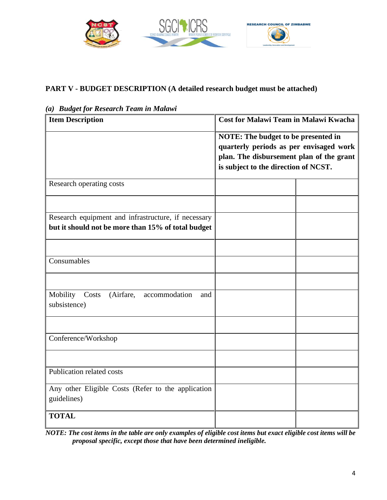

# **PART V - BUDGET DESCRIPTION (A detailed research budget must be attached)**

| <b>Item Description</b>                                                | <b>Cost for Malawi Team in Malawi Kwacha</b>                                                                                                                       |  |  |
|------------------------------------------------------------------------|--------------------------------------------------------------------------------------------------------------------------------------------------------------------|--|--|
|                                                                        | NOTE: The budget to be presented in<br>quarterly periods as per envisaged work<br>plan. The disbursement plan of the grant<br>is subject to the direction of NCST. |  |  |
| Research operating costs                                               |                                                                                                                                                                    |  |  |
|                                                                        |                                                                                                                                                                    |  |  |
| Research equipment and infrastructure, if necessary                    |                                                                                                                                                                    |  |  |
| but it should not be more than 15% of total budget                     |                                                                                                                                                                    |  |  |
|                                                                        |                                                                                                                                                                    |  |  |
| Consumables                                                            |                                                                                                                                                                    |  |  |
|                                                                        |                                                                                                                                                                    |  |  |
| Mobility<br>(Airfare,<br>Costs<br>accommodation<br>and<br>subsistence) |                                                                                                                                                                    |  |  |
|                                                                        |                                                                                                                                                                    |  |  |
| Conference/Workshop                                                    |                                                                                                                                                                    |  |  |
|                                                                        |                                                                                                                                                                    |  |  |
| Publication related costs                                              |                                                                                                                                                                    |  |  |
| Any other Eligible Costs (Refer to the application<br>guidelines)      |                                                                                                                                                                    |  |  |
| <b>TOTAL</b>                                                           |                                                                                                                                                                    |  |  |

*(a) Budget for Research Team in Malawi*

*NOTE: The cost items in the table are only examples of eligible cost items but exact eligible cost items will be proposal specific, except those that have been determined ineligible.*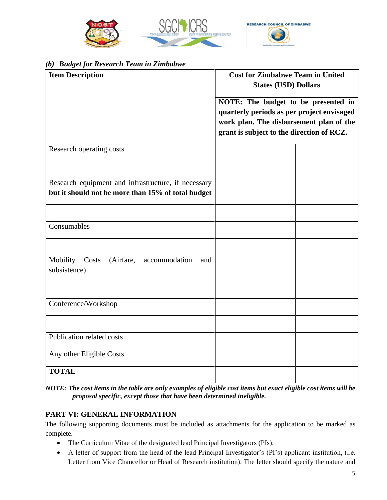

#### *(b) Budget for Research Team in Zimbabwe*

| <b>Item Description</b>                                                                                   | <b>Cost for Zimbabwe Team in United</b><br><b>States (USD) Dollars</b>                                                                                                    |  |  |
|-----------------------------------------------------------------------------------------------------------|---------------------------------------------------------------------------------------------------------------------------------------------------------------------------|--|--|
|                                                                                                           | NOTE: The budget to be presented in<br>quarterly periods as per project envisaged<br>work plan. The disbursement plan of the<br>grant is subject to the direction of RCZ. |  |  |
| Research operating costs                                                                                  |                                                                                                                                                                           |  |  |
|                                                                                                           |                                                                                                                                                                           |  |  |
| Research equipment and infrastructure, if necessary<br>but it should not be more than 15% of total budget |                                                                                                                                                                           |  |  |
|                                                                                                           |                                                                                                                                                                           |  |  |
| Consumables                                                                                               |                                                                                                                                                                           |  |  |
|                                                                                                           |                                                                                                                                                                           |  |  |
| Mobility<br>Costs<br>(Airfare,<br>accommodation<br>and<br>subsistence)                                    |                                                                                                                                                                           |  |  |
|                                                                                                           |                                                                                                                                                                           |  |  |
| Conference/Workshop                                                                                       |                                                                                                                                                                           |  |  |
|                                                                                                           |                                                                                                                                                                           |  |  |
| Publication related costs                                                                                 |                                                                                                                                                                           |  |  |
| Any other Eligible Costs                                                                                  |                                                                                                                                                                           |  |  |
| <b>TOTAL</b>                                                                                              |                                                                                                                                                                           |  |  |

*NOTE: The cost items in the table are only examples of eligible cost items but exact eligible cost items will be proposal specific, except those that have been determined ineligible.*

#### **PART VI: GENERAL INFORMATION**

The following supporting documents must be included as attachments for the application to be marked as complete.

- The Curriculum Vitae of the designated lead Principal Investigators (PIs).
- A letter of support from the head of the lead Principal Investigator's (PI's) applicant institution, (i.e. Letter from Vice Chancellor or Head of Research institution). The letter should specify the nature and